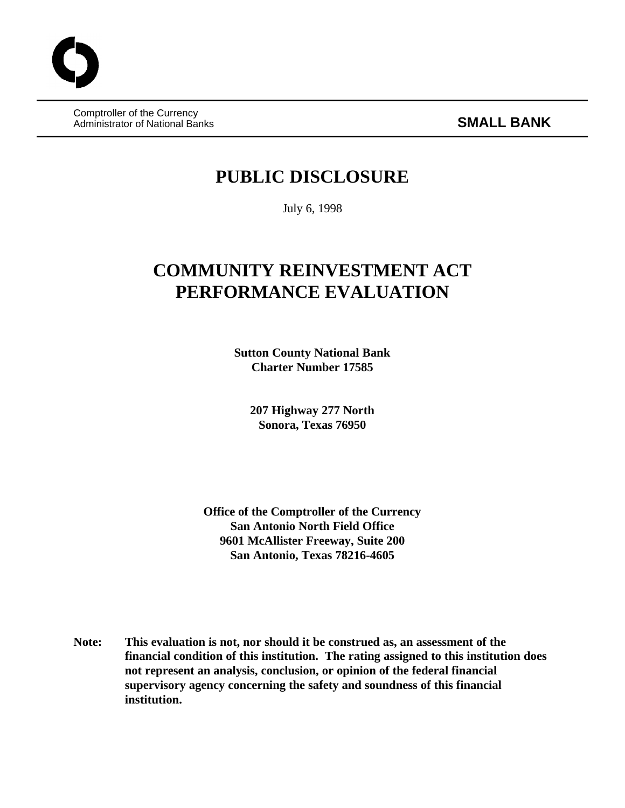Comptroller of the Currency Administrator of National Banks **SMALL BANK**

# **PUBLIC DISCLOSURE**

July 6, 1998

# **COMMUNITY REINVESTMENT ACT PERFORMANCE EVALUATION**

**Sutton County National Bank Charter Number 17585**

> **207 Highway 277 North Sonora, Texas 76950**

**Office of the Comptroller of the Currency San Antonio North Field Office 9601 McAllister Freeway, Suite 200 San Antonio, Texas 78216-4605**

**Note: This evaluation is not, nor should it be construed as, an assessment of the financial condition of this institution. The rating assigned to this institution does not represent an analysis, conclusion, or opinion of the federal financial supervisory agency concerning the safety and soundness of this financial institution.**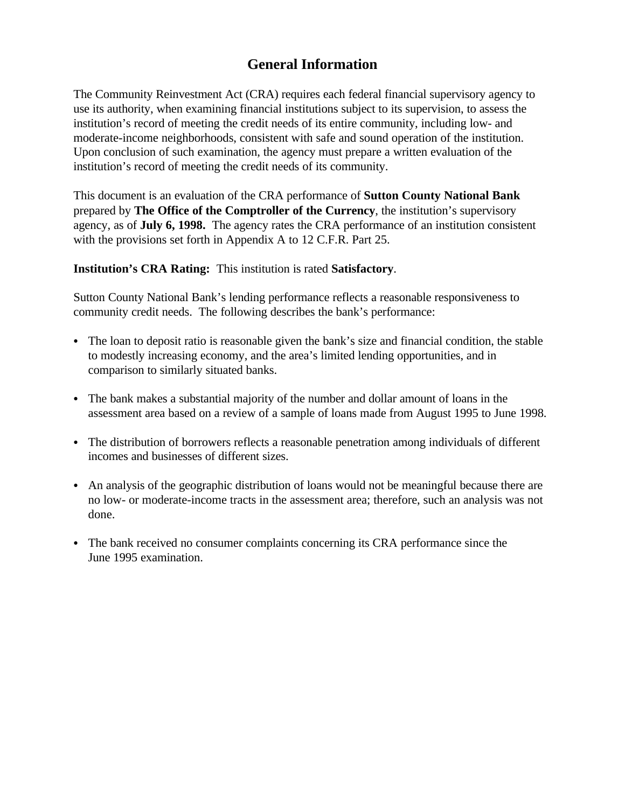# **General Information**

The Community Reinvestment Act (CRA) requires each federal financial supervisory agency to use its authority, when examining financial institutions subject to its supervision, to assess the institution's record of meeting the credit needs of its entire community, including low- and moderate-income neighborhoods, consistent with safe and sound operation of the institution. Upon conclusion of such examination, the agency must prepare a written evaluation of the institution's record of meeting the credit needs of its community.

This document is an evaluation of the CRA performance of **Sutton County National Bank** prepared by **The Office of the Comptroller of the Currency**, the institution's supervisory agency, as of **July 6, 1998.** The agency rates the CRA performance of an institution consistent with the provisions set forth in Appendix A to 12 C.F.R. Part 25.

### **Institution's CRA Rating:** This institution is rated **Satisfactory**.

Sutton County National Bank's lending performance reflects a reasonable responsiveness to community credit needs. The following describes the bank's performance:

- The loan to deposit ratio is reasonable given the bank's size and financial condition, the stable to modestly increasing economy, and the area's limited lending opportunities, and in comparison to similarly situated banks.
- The bank makes a substantial majority of the number and dollar amount of loans in the assessment area based on a review of a sample of loans made from August 1995 to June 1998.
- The distribution of borrowers reflects a reasonable penetration among individuals of different incomes and businesses of different sizes.
- An analysis of the geographic distribution of loans would not be meaningful because there are no low- or moderate-income tracts in the assessment area; therefore, such an analysis was not done.
- The bank received no consumer complaints concerning its CRA performance since the June 1995 examination.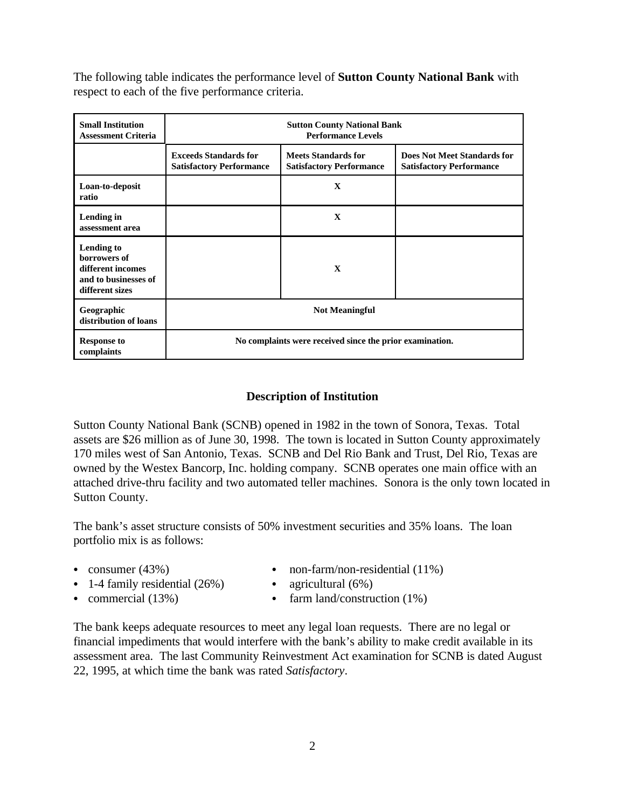The following table indicates the performance level of **Sutton County National Bank** with respect to each of the five performance criteria.

| <b>Small Institution</b><br><b>Assessment Criteria</b>                                     | <b>Sutton County National Bank</b><br><b>Performance Levels</b> |                                                               |                                                                       |  |  |  |  |  |
|--------------------------------------------------------------------------------------------|-----------------------------------------------------------------|---------------------------------------------------------------|-----------------------------------------------------------------------|--|--|--|--|--|
|                                                                                            | <b>Exceeds Standards for</b><br><b>Satisfactory Performance</b> | <b>Meets Standards for</b><br><b>Satisfactory Performance</b> | <b>Does Not Meet Standards for</b><br><b>Satisfactory Performance</b> |  |  |  |  |  |
| Loan-to-deposit<br>ratio                                                                   |                                                                 | $\mathbf x$                                                   |                                                                       |  |  |  |  |  |
| Lending in<br>assessment area                                                              |                                                                 | $\mathbf{x}$                                                  |                                                                       |  |  |  |  |  |
| Lending to<br>borrowers of<br>different incomes<br>and to businesses of<br>different sizes |                                                                 | $\mathbf x$                                                   |                                                                       |  |  |  |  |  |
| Geographic<br>distribution of loans                                                        | <b>Not Meaningful</b>                                           |                                                               |                                                                       |  |  |  |  |  |
| <b>Response to</b><br>complaints                                                           | No complaints were received since the prior examination.        |                                                               |                                                                       |  |  |  |  |  |

# **Description of Institution**

Sutton County National Bank (SCNB) opened in 1982 in the town of Sonora, Texas. Total assets are \$26 million as of June 30, 1998. The town is located in Sutton County approximately 170 miles west of San Antonio, Texas. SCNB and Del Rio Bank and Trust, Del Rio, Texas are owned by the Westex Bancorp, Inc. holding company. SCNB operates one main office with an attached drive-thru facility and two automated teller machines. Sonora is the only town located in Sutton County.

The bank's asset structure consists of 50% investment securities and 35% loans. The loan portfolio mix is as follows:

- 
- 1-4 family residential  $(26%)$  agricultural  $(6%)$
- consumer  $(43%)$  non-farm/non-residential  $(11%)$ 
	-
- 
- commercial  $(13%)$  farm land/construction  $(1%)$

The bank keeps adequate resources to meet any legal loan requests. There are no legal or financial impediments that would interfere with the bank's ability to make credit available in its assessment area. The last Community Reinvestment Act examination for SCNB is dated August 22, 1995, at which time the bank was rated *Satisfactory*.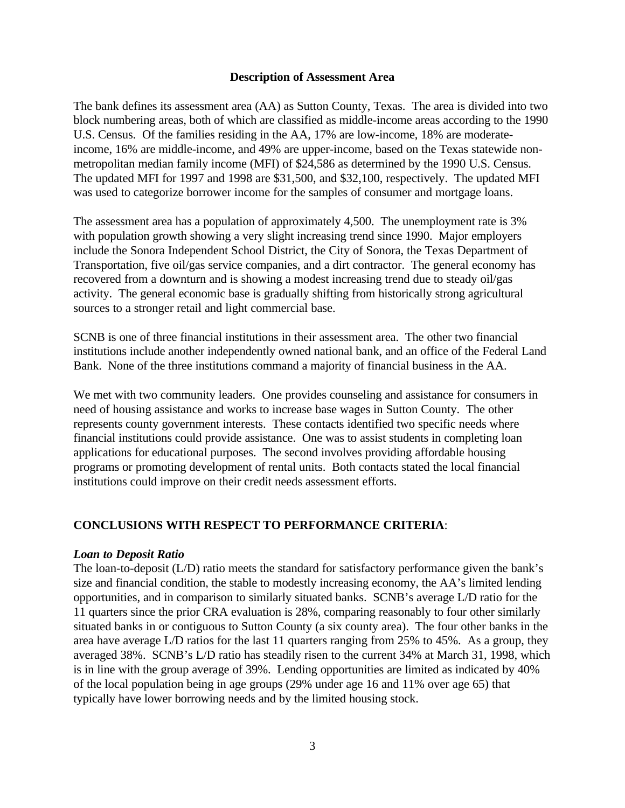#### **Description of Assessment Area**

The bank defines its assessment area (AA) as Sutton County, Texas. The area is divided into two block numbering areas, both of which are classified as middle-income areas according to the 1990 U.S. Census. Of the families residing in the AA, 17% are low-income, 18% are moderateincome, 16% are middle-income, and 49% are upper-income, based on the Texas statewide nonmetropolitan median family income (MFI) of \$24,586 as determined by the 1990 U.S. Census. The updated MFI for 1997 and 1998 are \$31,500, and \$32,100, respectively. The updated MFI was used to categorize borrower income for the samples of consumer and mortgage loans.

The assessment area has a population of approximately 4,500. The unemployment rate is 3% with population growth showing a very slight increasing trend since 1990. Major employers include the Sonora Independent School District, the City of Sonora, the Texas Department of Transportation, five oil/gas service companies, and a dirt contractor. The general economy has recovered from a downturn and is showing a modest increasing trend due to steady oil/gas activity. The general economic base is gradually shifting from historically strong agricultural sources to a stronger retail and light commercial base.

SCNB is one of three financial institutions in their assessment area. The other two financial institutions include another independently owned national bank, and an office of the Federal Land Bank. None of the three institutions command a majority of financial business in the AA.

We met with two community leaders. One provides counseling and assistance for consumers in need of housing assistance and works to increase base wages in Sutton County. The other represents county government interests. These contacts identified two specific needs where financial institutions could provide assistance. One was to assist students in completing loan applications for educational purposes. The second involves providing affordable housing programs or promoting development of rental units. Both contacts stated the local financial institutions could improve on their credit needs assessment efforts.

#### **CONCLUSIONS WITH RESPECT TO PERFORMANCE CRITERIA**:

#### *Loan to Deposit Ratio*

The loan-to-deposit (L/D) ratio meets the standard for satisfactory performance given the bank's size and financial condition, the stable to modestly increasing economy, the AA's limited lending opportunities, and in comparison to similarly situated banks. SCNB's average L/D ratio for the 11 quarters since the prior CRA evaluation is 28%, comparing reasonably to four other similarly situated banks in or contiguous to Sutton County (a six county area). The four other banks in the area have average L/D ratios for the last 11 quarters ranging from 25% to 45%. As a group, they averaged 38%. SCNB's L/D ratio has steadily risen to the current 34% at March 31, 1998, which is in line with the group average of 39%. Lending opportunities are limited as indicated by 40% of the local population being in age groups (29% under age 16 and 11% over age 65) that typically have lower borrowing needs and by the limited housing stock.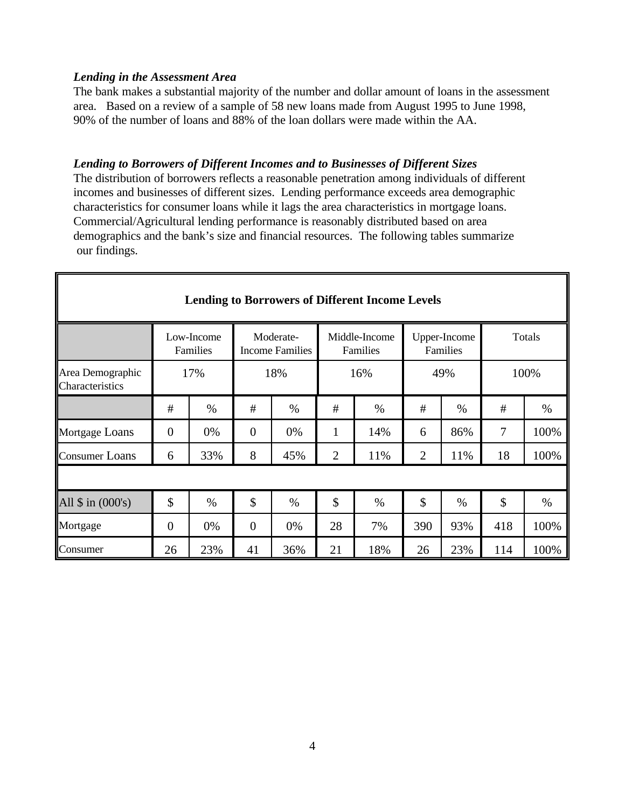### *Lending in the Assessment Area*

The bank makes a substantial majority of the number and dollar amount of loans in the assessment area. Based on a review of a sample of 58 new loans made from August 1995 to June 1998, 90% of the number of loans and 88% of the loan dollars were made within the AA.

# *Lending to Borrowers of Different Incomes and to Businesses of Different Sizes*

The distribution of borrowers reflects a reasonable penetration among individuals of different incomes and businesses of different sizes. Lending performance exceeds area demographic characteristics for consumer loans while it lags the area characteristics in mortgage loans. Commercial/Agricultural lending performance is reasonably distributed based on area demographics and the bank's size and financial resources. The following tables summarize our findings.

| <b>Lending to Borrowers of Different Income Levels</b> |                |                        |                                     |      |                           |      |                          |      |        |      |
|--------------------------------------------------------|----------------|------------------------|-------------------------------------|------|---------------------------|------|--------------------------|------|--------|------|
|                                                        |                | Low-Income<br>Families | Moderate-<br><b>Income Families</b> |      | Middle-Income<br>Families |      | Upper-Income<br>Families |      | Totals |      |
| Area Demographic<br>Characteristics                    | 18%<br>17%     |                        |                                     | 16%  |                           | 49%  |                          | 100% |        |      |
|                                                        | #              | $\%$                   | #                                   | $\%$ | #                         | $\%$ | #                        | $\%$ | #      | $\%$ |
| Mortgage Loans                                         | $\overline{0}$ | 0%                     | $\overline{0}$                      | 0%   | 1                         | 14%  | 6                        | 86%  | 7      | 100% |
| <b>Consumer Loans</b>                                  | 6              | 33%                    | 8                                   | 45%  | $\overline{2}$            | 11%  | $\overline{2}$           | 11%  | 18     | 100% |
|                                                        |                |                        |                                     |      |                           |      |                          |      |        |      |
| All $\sin(000's)$                                      | \$             | $\%$                   | \$                                  | $\%$ | $\mathcal{S}$             | $\%$ | \$                       | $\%$ | \$     | %    |
| Mortgage                                               | $\overline{0}$ | 0%                     | $\overline{0}$                      | 0%   | 28                        | 7%   | 390                      | 93%  | 418    | 100% |
| Consumer                                               | 26             | 23%                    | 41                                  | 36%  | 21                        | 18%  | 26                       | 23%  | 114    | 100% |